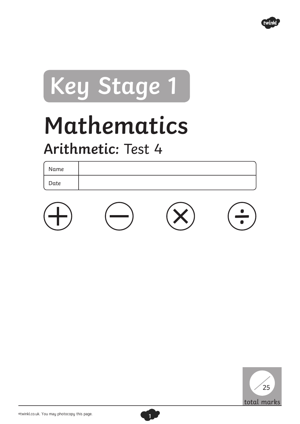

## **Key Stage 1**

## **Mathematics**

## **Arithmetic:** Test 4

Name Date





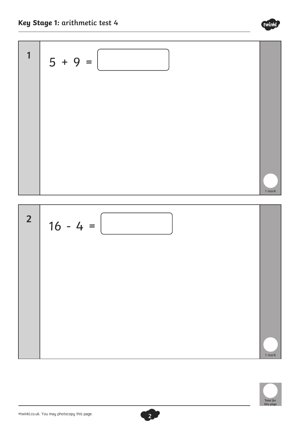



**2**



twinkl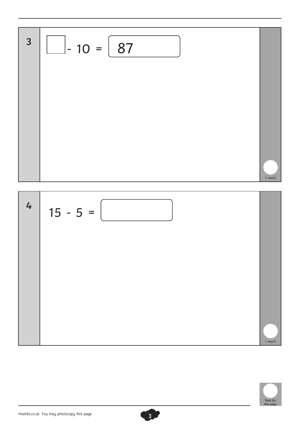



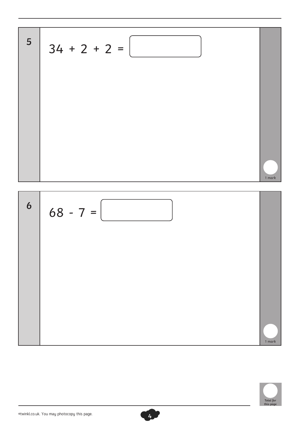



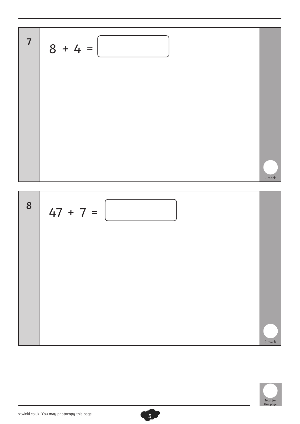$$
8 + 4 = \boxed{\boxed{}}
$$



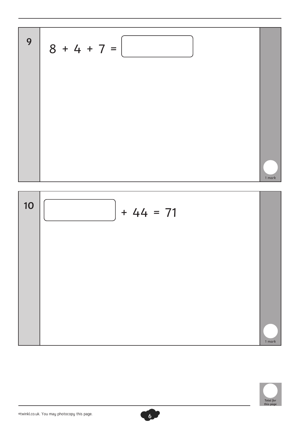



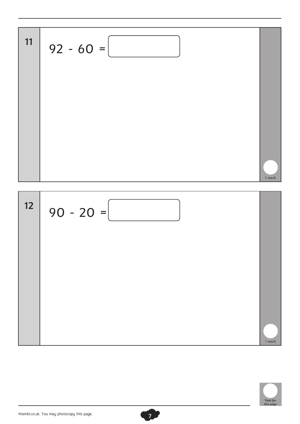



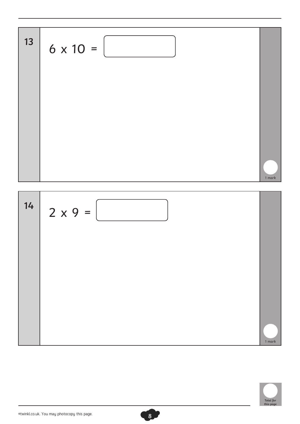



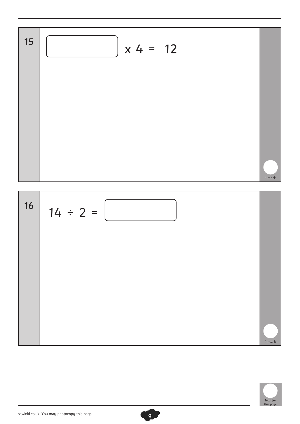



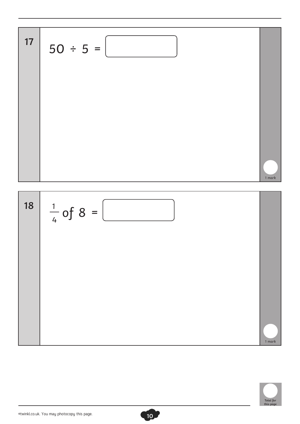



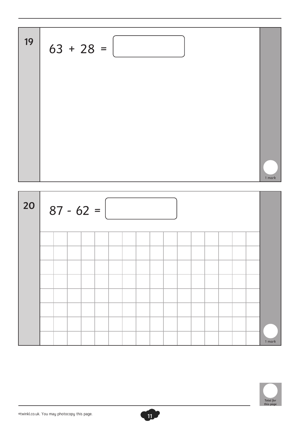$$
63 + 28 =
$$



1 mark

**11**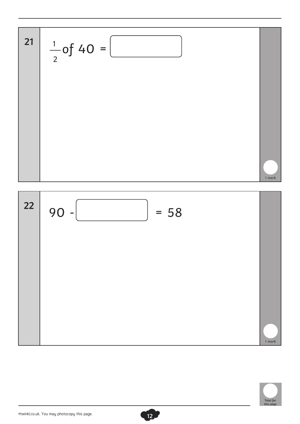$$
\frac{1}{2} \text{ of } 40 =
$$



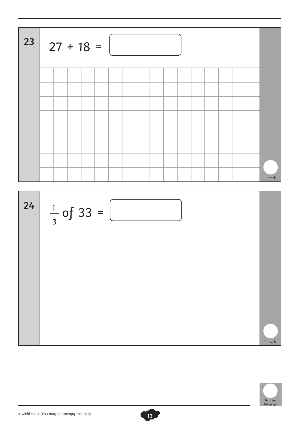$$
23 \t 27 + 18 =
$$

**13**

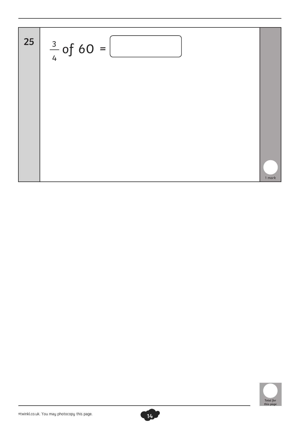